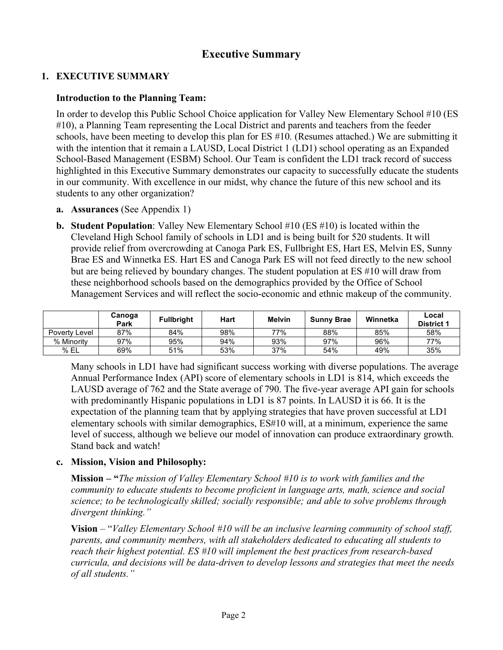# **Executive Summary**

### **1. EXECUTIVE SUMMARY**

### **Introduction to the Planning Team:**

In order to develop this Public School Choice application for Valley New Elementary School #10 (ES #10), a Planning Team representing the Local District and parents and teachers from the feeder schools, have been meeting to develop this plan for ES #10. (Resumes attached.) We are submitting it with the intention that it remain a LAUSD, Local District 1 (LD1) school operating as an Expanded School-Based Management (ESBM) School. Our Team is confident the LD1 track record of success highlighted in this Executive Summary demonstrates our capacity to successfully educate the students in our community. With excellence in our midst, why chance the future of this new school and its students to any other organization?

- **a. Assurances** (See Appendix 1)
- **b. Student Population**: Valley New Elementary School #10 (ES #10) is located within the Cleveland High School family of schools in LD1 and is being built for 520 students. It will provide relief from overcrowding at Canoga Park ES, Fullbright ES, Hart ES, Melvin ES, Sunny Brae ES and Winnetka ES. Hart ES and Canoga Park ES will not feed directly to the new school but are being relieved by boundary changes. The student population at ES #10 will draw from these neighborhood schools based on the demographics provided by the Office of School Management Services and will reflect the socio-economic and ethnic makeup of the community.

|               | Canoga<br>Park | <b>Fullbright</b> | Hart | <b>Melvin</b> | <b>Sunny Brae</b> | Winnetka | Local<br><b>District 1</b> |
|---------------|----------------|-------------------|------|---------------|-------------------|----------|----------------------------|
| Poverty Level | 87%            | 84%               | 98%  | 77%           | 88%               | 85%      | 58%                        |
| % Minority    | 97%            | 95%               | 94%  | 93%           | 97%               | 96%      | 77%                        |
| % EL          | 69%            | 51%               | 53%  | 37%           | 54%               | 49%      | 35%                        |

Many schools in LD1 have had significant success working with diverse populations. The average Annual Performance Index (API) score of elementary schools in LD1 is 814, which exceeds the LAUSD average of 762 and the State average of 790. The five-year average API gain for schools with predominantly Hispanic populations in LD1 is 87 points. In LAUSD it is 66. It is the expectation of the planning team that by applying strategies that have proven successful at LD1 elementary schools with similar demographics, ES#10 will, at a minimum, experience the same level of success, although we believe our model of innovation can produce extraordinary growth. Stand back and watch!

### **c. Mission, Vision and Philosophy:**

**Mission – "***The mission of Valley Elementary School #10 is to work with families and the community to educate students to become proficient in language arts, math, science and social science; to be technologically skilled; socially responsible; and able to solve problems through divergent thinking."*

**Vision** – "*Valley Elementary School #10 will be an inclusive learning community of school staff, parents, and community members, with all stakeholders dedicated to educating all students to reach their highest potential. ES #10 will implement the best practices from research-based curricula, and decisions will be data-driven to develop lessons and strategies that meet the needs of all students."*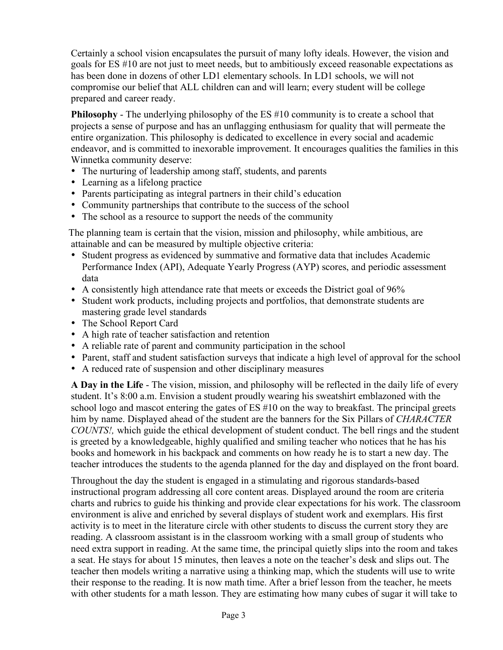Certainly a school vision encapsulates the pursuit of many lofty ideals. However, the vision and goals for ES #10 are not just to meet needs, but to ambitiously exceed reasonable expectations as has been done in dozens of other LD1 elementary schools. In LD1 schools, we will not compromise our belief that ALL children can and will learn; every student will be college prepared and career ready.

**Philosophy** - The underlying philosophy of the ES #10 community is to create a school that projects a sense of purpose and has an unflagging enthusiasm for quality that will permeate the entire organization. This philosophy is dedicated to excellence in every social and academic endeavor, and is committed to inexorable improvement. It encourages qualities the families in this Winnetka community deserve:

- The nurturing of leadership among staff, students, and parents
- Learning as a lifelong practice
- Parents participating as integral partners in their child's education
- Community partnerships that contribute to the success of the school
- The school as a resource to support the needs of the community

The planning team is certain that the vision, mission and philosophy, while ambitious, are attainable and can be measured by multiple objective criteria:

- Student progress as evidenced by summative and formative data that includes Academic Performance Index (API), Adequate Yearly Progress (AYP) scores, and periodic assessment data
- A consistently high attendance rate that meets or exceeds the District goal of 96%
- Student work products, including projects and portfolios, that demonstrate students are mastering grade level standards
- The School Report Card
- A high rate of teacher satisfaction and retention
- A reliable rate of parent and community participation in the school
- Parent, staff and student satisfaction surveys that indicate a high level of approval for the school
- A reduced rate of suspension and other disciplinary measures

**A Day in the Life** - The vision, mission, and philosophy will be reflected in the daily life of every student. It's 8:00 a.m. Envision a student proudly wearing his sweatshirt emblazoned with the school logo and mascot entering the gates of ES #10 on the way to breakfast. The principal greets him by name. Displayed ahead of the student are the banners for the Six Pillars of *CHARACTER COUNTS!,* which guide the ethical development of student conduct. The bell rings and the student is greeted by a knowledgeable, highly qualified and smiling teacher who notices that he has his books and homework in his backpack and comments on how ready he is to start a new day. The teacher introduces the students to the agenda planned for the day and displayed on the front board.

Throughout the day the student is engaged in a stimulating and rigorous standards-based instructional program addressing all core content areas. Displayed around the room are criteria charts and rubrics to guide his thinking and provide clear expectations for his work. The classroom environment is alive and enriched by several displays of student work and exemplars. His first activity is to meet in the literature circle with other students to discuss the current story they are reading. A classroom assistant is in the classroom working with a small group of students who need extra support in reading. At the same time, the principal quietly slips into the room and takes a seat. He stays for about 15 minutes, then leaves a note on the teacher's desk and slips out. The teacher then models writing a narrative using a thinking map, which the students will use to write their response to the reading. It is now math time. After a brief lesson from the teacher, he meets with other students for a math lesson. They are estimating how many cubes of sugar it will take to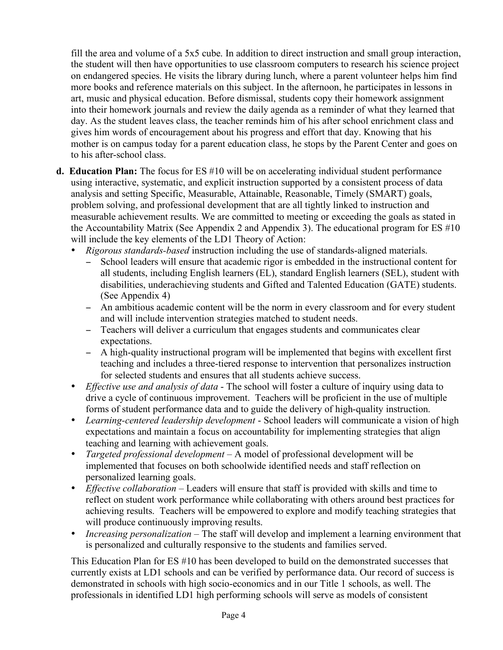fill the area and volume of a 5x5 cube. In addition to direct instruction and small group interaction, the student will then have opportunities to use classroom computers to research his science project on endangered species. He visits the library during lunch, where a parent volunteer helps him find more books and reference materials on this subject. In the afternoon, he participates in lessons in art, music and physical education. Before dismissal, students copy their homework assignment into their homework journals and review the daily agenda as a reminder of what they learned that day. As the student leaves class, the teacher reminds him of his after school enrichment class and gives him words of encouragement about his progress and effort that day. Knowing that his mother is on campus today for a parent education class, he stops by the Parent Center and goes on to his after-school class.

- **d. Education Plan:** The focus for ES #10 will be on accelerating individual student performance using interactive, systematic, and explicit instruction supported by a consistent process of data analysis and setting Specific, Measurable, Attainable, Reasonable, Timely (SMART) goals, problem solving, and professional development that are all tightly linked to instruction and measurable achievement results. We are committed to meeting or exceeding the goals as stated in the Accountability Matrix (See Appendix 2 and Appendix 3). The educational program for ES #10 will include the key elements of the LD1 Theory of Action:
	- *Rigorous standards-based* instruction including the use of standards-aligned materials.
		- − School leaders will ensure that academic rigor is embedded in the instructional content for all students, including English learners (EL), standard English learners (SEL), student with disabilities, underachieving students and Gifted and Talented Education (GATE) students. (See Appendix 4)
		- − An ambitious academic content will be the norm in every classroom and for every student and will include intervention strategies matched to student needs.
		- − Teachers will deliver a curriculum that engages students and communicates clear expectations.
		- − A high-quality instructional program will be implemented that begins with excellent first teaching and includes a three-tiered response to intervention that personalizes instruction for selected students and ensures that all students achieve success.
	- *Effective use and analysis of data* The school will foster a culture of inquiry using data to drive a cycle of continuous improvement. Teachers will be proficient in the use of multiple forms of student performance data and to guide the delivery of high-quality instruction.
	- *Learning-centered leadership development* School leaders will communicate a vision of high expectations and maintain a focus on accountability for implementing strategies that align teaching and learning with achievement goals.
	- *Targeted professional development* A model of professional development will be implemented that focuses on both schoolwide identified needs and staff reflection on personalized learning goals.
	- *Effective collaboration* Leaders will ensure that staff is provided with skills and time to reflect on student work performance while collaborating with others around best practices for achieving results. Teachers will be empowered to explore and modify teaching strategies that will produce continuously improving results.
	- *Increasing personalization* The staff will develop and implement a learning environment that is personalized and culturally responsive to the students and families served.

This Education Plan for ES #10 has been developed to build on the demonstrated successes that currently exists at LD1 schools and can be verified by performance data. Our record of success is demonstrated in schools with high socio-economics and in our Title 1 schools, as well. The professionals in identified LD1 high performing schools will serve as models of consistent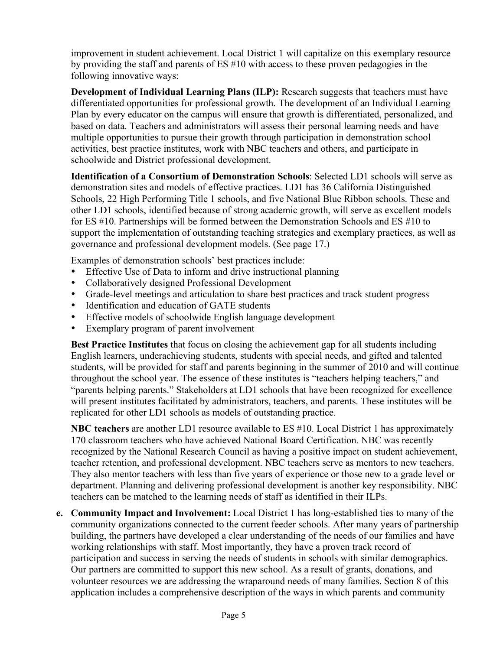improvement in student achievement. Local District 1 will capitalize on this exemplary resource by providing the staff and parents of ES #10 with access to these proven pedagogies in the following innovative ways:

**Development of Individual Learning Plans (ILP):** Research suggests that teachers must have differentiated opportunities for professional growth. The development of an Individual Learning Plan by every educator on the campus will ensure that growth is differentiated, personalized, and based on data. Teachers and administrators will assess their personal learning needs and have multiple opportunities to pursue their growth through participation in demonstration school activities, best practice institutes, work with NBC teachers and others, and participate in schoolwide and District professional development.

**Identification of a Consortium of Demonstration Schools**: Selected LD1 schools will serve as demonstration sites and models of effective practices. LD1 has 36 California Distinguished Schools, 22 High Performing Title 1 schools, and five National Blue Ribbon schools. These and other LD1 schools, identified because of strong academic growth, will serve as excellent models for ES #10. Partnerships will be formed between the Demonstration Schools and ES #10 to support the implementation of outstanding teaching strategies and exemplary practices, as well as governance and professional development models. (See page 17.)

Examples of demonstration schools' best practices include:

- Effective Use of Data to inform and drive instructional planning
- Collaboratively designed Professional Development
- Grade-level meetings and articulation to share best practices and track student progress
- Identification and education of GATE students
- Effective models of schoolwide English language development
- Exemplary program of parent involvement

**Best Practice Institutes** that focus on closing the achievement gap for all students including English learners, underachieving students, students with special needs, and gifted and talented students, will be provided for staff and parents beginning in the summer of 2010 and will continue throughout the school year. The essence of these institutes is "teachers helping teachers," and "parents helping parents." Stakeholders at LD1 schools that have been recognized for excellence will present institutes facilitated by administrators, teachers, and parents. These institutes will be replicated for other LD1 schools as models of outstanding practice.

**NBC teachers** are another LD1 resource available to ES #10. Local District 1 has approximately 170 classroom teachers who have achieved National Board Certification. NBC was recently recognized by the National Research Council as having a positive impact on student achievement, teacher retention, and professional development. NBC teachers serve as mentors to new teachers. They also mentor teachers with less than five years of experience or those new to a grade level or department. Planning and delivering professional development is another key responsibility. NBC teachers can be matched to the learning needs of staff as identified in their ILPs.

**e. Community Impact and Involvement:** Local District 1 has long-established ties to many of the community organizations connected to the current feeder schools. After many years of partnership building, the partners have developed a clear understanding of the needs of our families and have working relationships with staff. Most importantly, they have a proven track record of participation and success in serving the needs of students in schools with similar demographics. Our partners are committed to support this new school. As a result of grants, donations, and volunteer resources we are addressing the wraparound needs of many families. Section 8 of this application includes a comprehensive description of the ways in which parents and community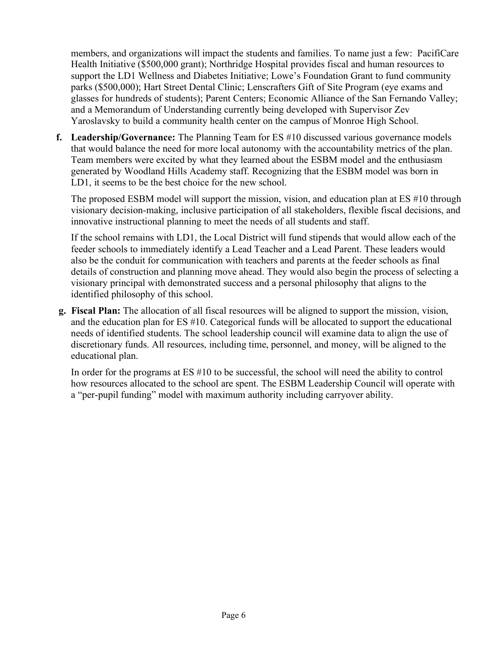members, and organizations will impact the students and families. To name just a few: PacifiCare Health Initiative (\$500,000 grant); Northridge Hospital provides fiscal and human resources to support the LD1 Wellness and Diabetes Initiative; Lowe's Foundation Grant to fund community parks (\$500,000); Hart Street Dental Clinic; Lenscrafters Gift of Site Program (eye exams and glasses for hundreds of students); Parent Centers; Economic Alliance of the San Fernando Valley; and a Memorandum of Understanding currently being developed with Supervisor Zev Yaroslavsky to build a community health center on the campus of Monroe High School.

**f. Leadership/Governance:** The Planning Team for ES #10 discussed various governance models that would balance the need for more local autonomy with the accountability metrics of the plan. Team members were excited by what they learned about the ESBM model and the enthusiasm generated by Woodland Hills Academy staff. Recognizing that the ESBM model was born in LD1, it seems to be the best choice for the new school.

The proposed ESBM model will support the mission, vision, and education plan at ES #10 through visionary decision-making, inclusive participation of all stakeholders, flexible fiscal decisions, and innovative instructional planning to meet the needs of all students and staff.

If the school remains with LD1, the Local District will fund stipends that would allow each of the feeder schools to immediately identify a Lead Teacher and a Lead Parent. These leaders would also be the conduit for communication with teachers and parents at the feeder schools as final details of construction and planning move ahead. They would also begin the process of selecting a visionary principal with demonstrated success and a personal philosophy that aligns to the identified philosophy of this school.

**g. Fiscal Plan:** The allocation of all fiscal resources will be aligned to support the mission, vision, and the education plan for ES #10. Categorical funds will be allocated to support the educational needs of identified students. The school leadership council will examine data to align the use of discretionary funds. All resources, including time, personnel, and money, will be aligned to the educational plan.

In order for the programs at ES #10 to be successful, the school will need the ability to control how resources allocated to the school are spent. The ESBM Leadership Council will operate with a "per-pupil funding" model with maximum authority including carryover ability.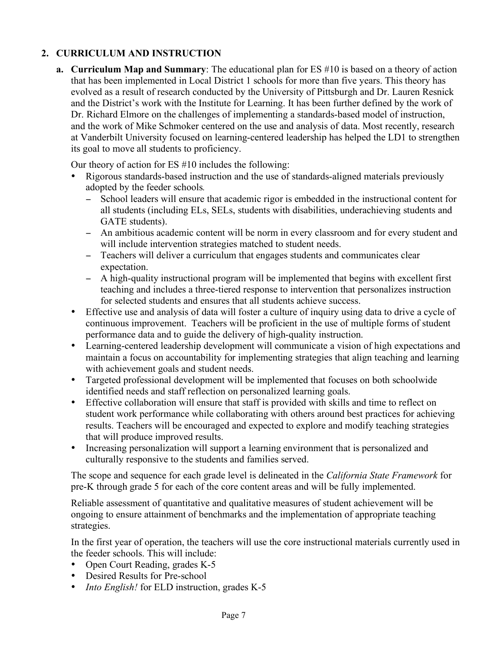## **2. CURRICULUM AND INSTRUCTION**

**a. Curriculum Map and Summary**: The educational plan for ES #10 is based on a theory of action that has been implemented in Local District 1 schools for more than five years. This theory has evolved as a result of research conducted by the University of Pittsburgh and Dr. Lauren Resnick and the District's work with the Institute for Learning. It has been further defined by the work of Dr. Richard Elmore on the challenges of implementing a standards-based model of instruction, and the work of Mike Schmoker centered on the use and analysis of data. Most recently, research at Vanderbilt University focused on learning-centered leadership has helped the LD1 to strengthen its goal to move all students to proficiency.

Our theory of action for ES #10 includes the following:

- Rigorous standards-based instruction and the use of standards-aligned materials previously adopted by the feeder schools*.*
	- School leaders will ensure that academic rigor is embedded in the instructional content for all students (including ELs, SELs, students with disabilities, underachieving students and GATE students).
	- − An ambitious academic content will be norm in every classroom and for every student and will include intervention strategies matched to student needs.
	- − Teachers will deliver a curriculum that engages students and communicates clear expectation.
	- − A high-quality instructional program will be implemented that begins with excellent first teaching and includes a three-tiered response to intervention that personalizes instruction for selected students and ensures that all students achieve success.
- Effective use and analysis of data will foster a culture of inquiry using data to drive a cycle of continuous improvement. Teachers will be proficient in the use of multiple forms of student performance data and to guide the delivery of high-quality instruction.
- Learning-centered leadership development will communicate a vision of high expectations and maintain a focus on accountability for implementing strategies that align teaching and learning with achievement goals and student needs.
- Targeted professional development will be implemented that focuses on both schoolwide identified needs and staff reflection on personalized learning goals.
- Effective collaboration will ensure that staff is provided with skills and time to reflect on student work performance while collaborating with others around best practices for achieving results. Teachers will be encouraged and expected to explore and modify teaching strategies that will produce improved results.
- Increasing personalization will support a learning environment that is personalized and culturally responsive to the students and families served.

The scope and sequence for each grade level is delineated in the *California State Framework* for pre-K through grade 5 for each of the core content areas and will be fully implemented.

Reliable assessment of quantitative and qualitative measures of student achievement will be ongoing to ensure attainment of benchmarks and the implementation of appropriate teaching strategies.

In the first year of operation, the teachers will use the core instructional materials currently used in the feeder schools. This will include:

- Open Court Reading, grades K-5
- Desired Results for Pre-school
- *Into English!* for ELD instruction, grades K-5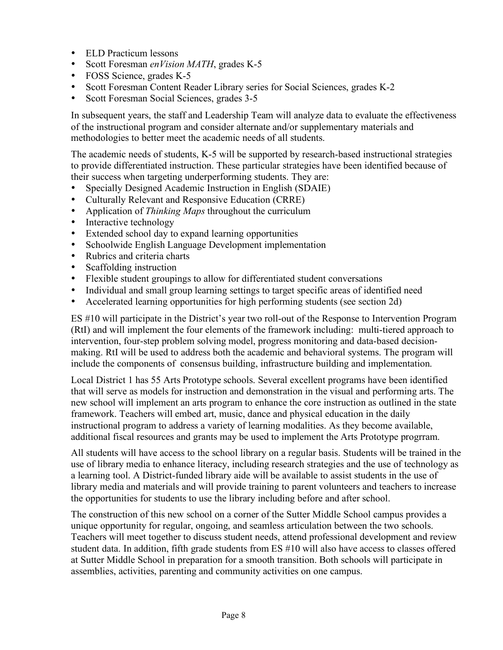- ELD Practicum lessons
- Scott Foresman *enVision MATH*, grades K-5
- FOSS Science, grades K-5
- Scott Foresman Content Reader Library series for Social Sciences, grades K-2
- Scott Foresman Social Sciences, grades 3-5

In subsequent years, the staff and Leadership Team will analyze data to evaluate the effectiveness of the instructional program and consider alternate and/or supplementary materials and methodologies to better meet the academic needs of all students.

The academic needs of students, K-5 will be supported by research-based instructional strategies to provide differentiated instruction. These particular strategies have been identified because of their success when targeting underperforming students. They are:

- Specially Designed Academic Instruction in English (SDAIE)
- Culturally Relevant and Responsive Education (CRRE)
- Application of *Thinking Maps* throughout the curriculum
- Interactive technology
- Extended school day to expand learning opportunities
- Schoolwide English Language Development implementation
- Rubrics and criteria charts
- Scaffolding instruction
- Flexible student groupings to allow for differentiated student conversations
- Individual and small group learning settings to target specific areas of identified need
- Accelerated learning opportunities for high performing students (see section 2d)

ES #10 will participate in the District's year two roll-out of the Response to Intervention Program (RtI) and will implement the four elements of the framework including: multi-tiered approach to intervention, four-step problem solving model, progress monitoring and data-based decisionmaking. RtI will be used to address both the academic and behavioral systems. The program will include the components of consensus building, infrastructure building and implementation.

Local District 1 has 55 Arts Prototype schools. Several excellent programs have been identified that will serve as models for instruction and demonstration in the visual and performing arts. The new school will implement an arts program to enhance the core instruction as outlined in the state framework. Teachers will embed art, music, dance and physical education in the daily instructional program to address a variety of learning modalities. As they become available, additional fiscal resources and grants may be used to implement the Arts Prototype progrram.

All students will have access to the school library on a regular basis. Students will be trained in the use of library media to enhance literacy, including research strategies and the use of technology as a learning tool. A District-funded library aide will be available to assist students in the use of library media and materials and will provide training to parent volunteers and teachers to increase the opportunities for students to use the library including before and after school.

The construction of this new school on a corner of the Sutter Middle School campus provides a unique opportunity for regular, ongoing, and seamless articulation between the two schools. Teachers will meet together to discuss student needs, attend professional development and review student data. In addition, fifth grade students from ES #10 will also have access to classes offered at Sutter Middle School in preparation for a smooth transition. Both schools will participate in assemblies, activities, parenting and community activities on one campus.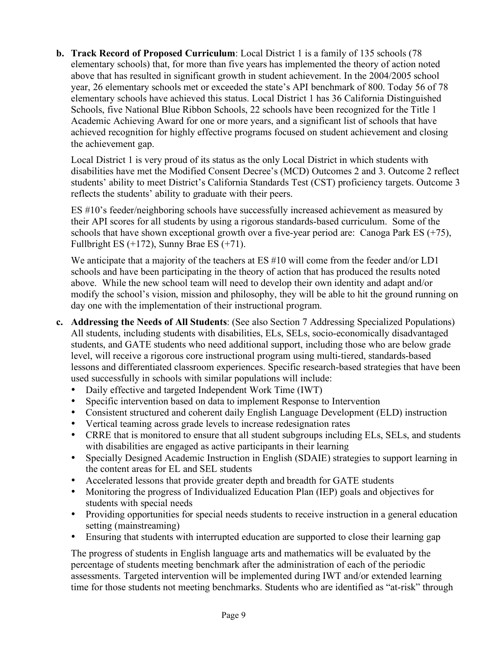**b. Track Record of Proposed Curriculum**: Local District 1 is a family of 135 schools (78 elementary schools) that, for more than five years has implemented the theory of action noted above that has resulted in significant growth in student achievement. In the 2004/2005 school year, 26 elementary schools met or exceeded the state's API benchmark of 800. Today 56 of 78 elementary schools have achieved this status. Local District 1 has 36 California Distinguished Schools, five National Blue Ribbon Schools, 22 schools have been recognized for the Title 1 Academic Achieving Award for one or more years, and a significant list of schools that have achieved recognition for highly effective programs focused on student achievement and closing the achievement gap.

Local District 1 is very proud of its status as the only Local District in which students with disabilities have met the Modified Consent Decree's (MCD) Outcomes 2 and 3. Outcome 2 reflect students' ability to meet District's California Standards Test (CST) proficiency targets. Outcome 3 reflects the students' ability to graduate with their peers.

ES #10's feeder/neighboring schools have successfully increased achievement as measured by their API scores for all students by using a rigorous standards-based curriculum. Some of the schools that have shown exceptional growth over a five-year period are: Canoga Park ES (+75), Fullbright ES  $(+172)$ , Sunny Brae ES  $(+71)$ .

We anticipate that a majority of the teachers at ES #10 will come from the feeder and/or LD1 schools and have been participating in the theory of action that has produced the results noted above. While the new school team will need to develop their own identity and adapt and/or modify the school's vision, mission and philosophy, they will be able to hit the ground running on day one with the implementation of their instructional program.

- **c. Addressing the Needs of All Students**: (See also Section 7 Addressing Specialized Populations) All students, including students with disabilities, ELs, SELs, socio-economically disadvantaged students, and GATE students who need additional support, including those who are below grade level, will receive a rigorous core instructional program using multi-tiered, standards-based lessons and differentiated classroom experiences. Specific research-based strategies that have been used successfully in schools with similar populations will include:
	- Daily effective and targeted Independent Work Time (IWT)
	- Specific intervention based on data to implement Response to Intervention
	- Consistent structured and coherent daily English Language Development (ELD) instruction
	- Vertical teaming across grade levels to increase redesignation rates
	- CRRE that is monitored to ensure that all student subgroups including ELs, SELs, and students with disabilities are engaged as active participants in their learning
	- Specially Designed Academic Instruction in English (SDAIE) strategies to support learning in the content areas for EL and SEL students
	- Accelerated lessons that provide greater depth and breadth for GATE students
	- Monitoring the progress of Individualized Education Plan (IEP) goals and objectives for students with special needs
	- Providing opportunities for special needs students to receive instruction in a general education setting (mainstreaming)
	- Ensuring that students with interrupted education are supported to close their learning gap

The progress of students in English language arts and mathematics will be evaluated by the percentage of students meeting benchmark after the administration of each of the periodic assessments. Targeted intervention will be implemented during IWT and/or extended learning time for those students not meeting benchmarks. Students who are identified as "at-risk" through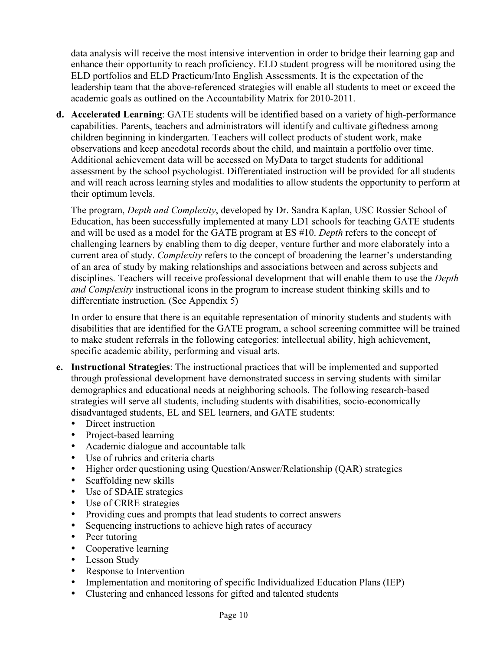data analysis will receive the most intensive intervention in order to bridge their learning gap and enhance their opportunity to reach proficiency. ELD student progress will be monitored using the ELD portfolios and ELD Practicum/Into English Assessments. It is the expectation of the leadership team that the above-referenced strategies will enable all students to meet or exceed the academic goals as outlined on the Accountability Matrix for 2010-2011.

**d. Accelerated Learning**: GATE students will be identified based on a variety of high-performance capabilities. Parents, teachers and administrators will identify and cultivate giftedness among children beginning in kindergarten. Teachers will collect products of student work, make observations and keep anecdotal records about the child, and maintain a portfolio over time. Additional achievement data will be accessed on MyData to target students for additional assessment by the school psychologist. Differentiated instruction will be provided for all students and will reach across learning styles and modalities to allow students the opportunity to perform at their optimum levels.

The program, *Depth and Complexity*, developed by Dr. Sandra Kaplan, USC Rossier School of Education, has been successfully implemented at many LD1 schools for teaching GATE students and will be used as a model for the GATE program at ES #10. *Depth* refers to the concept of challenging learners by enabling them to dig deeper, venture further and more elaborately into a current area of study. *Complexity* refers to the concept of broadening the learner's understanding of an area of study by making relationships and associations between and across subjects and disciplines. Teachers will receive professional development that will enable them to use the *Depth and Complexity* instructional icons in the program to increase student thinking skills and to differentiate instruction. (See Appendix 5)

In order to ensure that there is an equitable representation of minority students and students with disabilities that are identified for the GATE program, a school screening committee will be trained to make student referrals in the following categories: intellectual ability, high achievement, specific academic ability, performing and visual arts.

- **e. Instructional Strategies**: The instructional practices that will be implemented and supported through professional development have demonstrated success in serving students with similar demographics and educational needs at neighboring schools. The following research-based strategies will serve all students, including students with disabilities, socio-economically disadvantaged students, EL and SEL learners, and GATE students:
	- Direct instruction
	- Project-based learning
	- Academic dialogue and accountable talk
	- Use of rubrics and criteria charts
	- Higher order questioning using Question/Answer/Relationship (QAR) strategies
	- Scaffolding new skills
	- Use of SDAIE strategies
	- Use of CRRE strategies
	- Providing cues and prompts that lead students to correct answers
	- Sequencing instructions to achieve high rates of accuracy
	- Peer tutoring
	- Cooperative learning
	- Lesson Study
	- Response to Intervention
	- Implementation and monitoring of specific Individualized Education Plans (IEP)
	- Clustering and enhanced lessons for gifted and talented students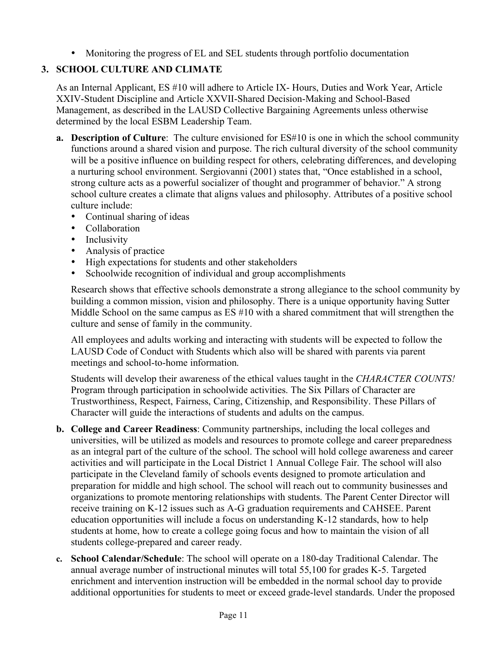• Monitoring the progress of EL and SEL students through portfolio documentation

# **3. SCHOOL CULTURE AND CLIMATE**

As an Internal Applicant, ES #10 will adhere to Article IX- Hours, Duties and Work Year, Article XXIV-Student Discipline and Article XXVII-Shared Decision-Making and School-Based Management, as described in the LAUSD Collective Bargaining Agreements unless otherwise determined by the local ESBM Leadership Team.

- **a. Description of Culture**: The culture envisioned for ES#10 is one in which the school community functions around a shared vision and purpose. The rich cultural diversity of the school community will be a positive influence on building respect for others, celebrating differences, and developing a nurturing school environment. Sergiovanni (2001) states that, "Once established in a school, strong culture acts as a powerful socializer of thought and programmer of behavior." A strong school culture creates a climate that aligns values and philosophy. Attributes of a positive school culture include:
	- Continual sharing of ideas
	- Collaboration
	- Inclusivity
	- Analysis of practice
	- High expectations for students and other stakeholders
	- Schoolwide recognition of individual and group accomplishments

Research shows that effective schools demonstrate a strong allegiance to the school community by building a common mission, vision and philosophy. There is a unique opportunity having Sutter Middle School on the same campus as ES #10 with a shared commitment that will strengthen the culture and sense of family in the community.

All employees and adults working and interacting with students will be expected to follow the LAUSD Code of Conduct with Students which also will be shared with parents via parent meetings and school-to-home information.

Students will develop their awareness of the ethical values taught in the *CHARACTER COUNTS!* Program through participation in schoolwide activities. The Six Pillars of Character are Trustworthiness, Respect, Fairness, Caring, Citizenship, and Responsibility. These Pillars of Character will guide the interactions of students and adults on the campus.

- **b. College and Career Readiness**: Community partnerships, including the local colleges and universities, will be utilized as models and resources to promote college and career preparedness as an integral part of the culture of the school. The school will hold college awareness and career activities and will participate in the Local District 1 Annual College Fair. The school will also participate in the Cleveland family of schools events designed to promote articulation and preparation for middle and high school. The school will reach out to community businesses and organizations to promote mentoring relationships with students. The Parent Center Director will receive training on K-12 issues such as A-G graduation requirements and CAHSEE. Parent education opportunities will include a focus on understanding K-12 standards, how to help students at home, how to create a college going focus and how to maintain the vision of all students college-prepared and career ready.
- **c. School Calendar/Schedule**: The school will operate on a 180-day Traditional Calendar. The annual average number of instructional minutes will total 55,100 for grades K-5. Targeted enrichment and intervention instruction will be embedded in the normal school day to provide additional opportunities for students to meet or exceed grade-level standards. Under the proposed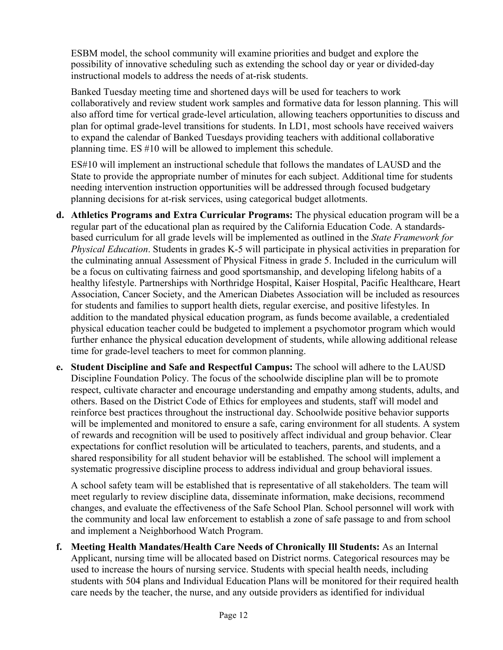ESBM model, the school community will examine priorities and budget and explore the possibility of innovative scheduling such as extending the school day or year or divided-day instructional models to address the needs of at-risk students.

Banked Tuesday meeting time and shortened days will be used for teachers to work collaboratively and review student work samples and formative data for lesson planning. This will also afford time for vertical grade-level articulation, allowing teachers opportunities to discuss and plan for optimal grade-level transitions for students. In LD1, most schools have received waivers to expand the calendar of Banked Tuesdays providing teachers with additional collaborative planning time. ES #10 will be allowed to implement this schedule.

ES#10 will implement an instructional schedule that follows the mandates of LAUSD and the State to provide the appropriate number of minutes for each subject. Additional time for students needing intervention instruction opportunities will be addressed through focused budgetary planning decisions for at-risk services, using categorical budget allotments.

- **d. Athletics Programs and Extra Curricular Programs:** The physical education program will be a regular part of the educational plan as required by the California Education Code. A standardsbased curriculum for all grade levels will be implemented as outlined in the *State Framework for Physical Education*. Students in grades K-5 will participate in physical activities in preparation for the culminating annual Assessment of Physical Fitness in grade 5. Included in the curriculum will be a focus on cultivating fairness and good sportsmanship, and developing lifelong habits of a healthy lifestyle. Partnerships with Northridge Hospital, Kaiser Hospital, Pacific Healthcare, Heart Association, Cancer Society, and the American Diabetes Association will be included as resources for students and families to support health diets, regular exercise, and positive lifestyles. In addition to the mandated physical education program, as funds become available, a credentialed physical education teacher could be budgeted to implement a psychomotor program which would further enhance the physical education development of students, while allowing additional release time for grade-level teachers to meet for common planning.
- **e. Student Discipline and Safe and Respectful Campus:** The school will adhere to the LAUSD Discipline Foundation Policy. The focus of the schoolwide discipline plan will be to promote respect, cultivate character and encourage understanding and empathy among students, adults, and others. Based on the District Code of Ethics for employees and students, staff will model and reinforce best practices throughout the instructional day. Schoolwide positive behavior supports will be implemented and monitored to ensure a safe, caring environment for all students. A system of rewards and recognition will be used to positively affect individual and group behavior. Clear expectations for conflict resolution will be articulated to teachers, parents, and students, and a shared responsibility for all student behavior will be established. The school will implement a systematic progressive discipline process to address individual and group behavioral issues.

A school safety team will be established that is representative of all stakeholders. The team will meet regularly to review discipline data, disseminate information, make decisions, recommend changes, and evaluate the effectiveness of the Safe School Plan. School personnel will work with the community and local law enforcement to establish a zone of safe passage to and from school and implement a Neighborhood Watch Program.

**f. Meeting Health Mandates/Health Care Needs of Chronically Ill Students:** As an Internal Applicant, nursing time will be allocated based on District norms. Categorical resources may be used to increase the hours of nursing service. Students with special health needs, including students with 504 plans and Individual Education Plans will be monitored for their required health care needs by the teacher, the nurse, and any outside providers as identified for individual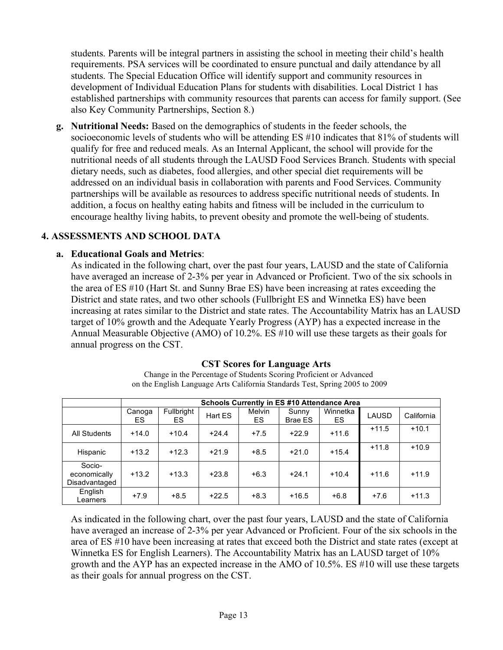students. Parents will be integral partners in assisting the school in meeting their child's health requirements. PSA services will be coordinated to ensure punctual and daily attendance by all students. The Special Education Office will identify support and community resources in development of Individual Education Plans for students with disabilities. Local District 1 has established partnerships with community resources that parents can access for family support. (See also Key Community Partnerships, Section 8.)

**g. Nutritional Needs:** Based on the demographics of students in the feeder schools, the socioeconomic levels of students who will be attending ES #10 indicates that 81% of students will qualify for free and reduced meals. As an Internal Applicant, the school will provide for the nutritional needs of all students through the LAUSD Food Services Branch. Students with special dietary needs, such as diabetes, food allergies, and other special diet requirements will be addressed on an individual basis in collaboration with parents and Food Services. Community partnerships will be available as resources to address specific nutritional needs of students. In addition, a focus on healthy eating habits and fitness will be included in the curriculum to encourage healthy living habits, to prevent obesity and promote the well-being of students.

### **4. ASSESSMENTS AND SCHOOL DATA**

### **a. Educational Goals and Metrics**:

As indicated in the following chart, over the past four years, LAUSD and the state of California have averaged an increase of 2-3% per year in Advanced or Proficient. Two of the six schools in the area of ES #10 (Hart St. and Sunny Brae ES) have been increasing at rates exceeding the District and state rates, and two other schools (Fullbright ES and Winnetka ES) have been increasing at rates similar to the District and state rates. The Accountability Matrix has an LAUSD target of 10% growth and the Adequate Yearly Progress (AYP) has a expected increase in the Annual Measurable Objective (AMO) of 10.2%. ES #10 will use these targets as their goals for annual progress on the CST.

|                                         | <b>Schools Currently in ES #10 Attendance Area</b> |                   |         |              |                  |                |         |            |  |  |  |
|-----------------------------------------|----------------------------------------------------|-------------------|---------|--------------|------------------|----------------|---------|------------|--|--|--|
|                                         | Canoga<br>ES                                       | Fullbright<br>ES. | Hart ES | Melvin<br>ES | Sunny<br>Brae ES | Winnetka<br>ES | LAUSD   | California |  |  |  |
| <b>All Students</b>                     | $+14.0$                                            | $+10.4$           | $+24.4$ | $+7.5$       | $+22.9$          | $+11.6$        | $+11.5$ | $+10.1$    |  |  |  |
| Hispanic                                | $+13.2$                                            | $+12.3$           | $+21.9$ | $+8.5$       | $+21.0$          | $+15.4$        | $+11.8$ | $+10.9$    |  |  |  |
| Socio-<br>economically<br>Disadvantaged | $+13.2$                                            | $+13.3$           | $+23.8$ | $+6.3$       | $+24.1$          | $+10.4$        | $+11.6$ | $+11.9$    |  |  |  |
| English<br>Learners                     | $+7.9$                                             | $+8.5$            | $+22.5$ | $+8.3$       | $+16.5$          | $+6.8$         | $+7.6$  | $+11.3$    |  |  |  |

#### **CST Scores for Language Arts**

Change in the Percentage of Students Scoring Proficient or Advanced on the English Language Arts California Standards Test, Spring 2005 to 2009

As indicated in the following chart, over the past four years, LAUSD and the state of California have averaged an increase of 2-3% per year Advanced or Proficient. Four of the six schools in the area of ES #10 have been increasing at rates that exceed both the District and state rates (except at Winnetka ES for English Learners). The Accountability Matrix has an LAUSD target of 10% growth and the AYP has an expected increase in the AMO of 10.5%. ES #10 will use these targets as their goals for annual progress on the CST.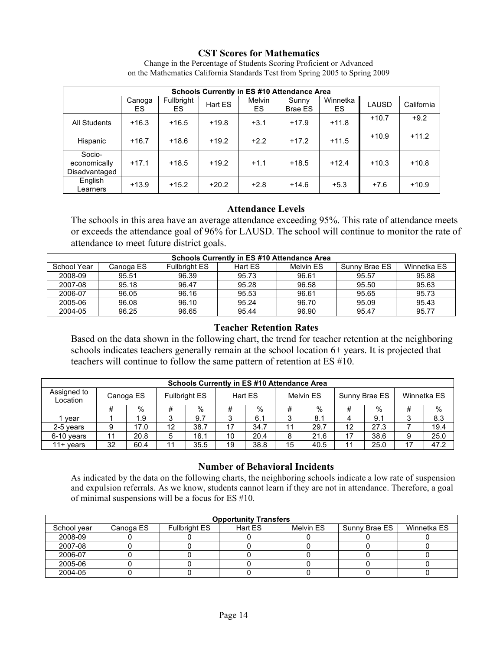#### **CST Scores for Mathematics**

|                                         | Schools Currently in ES #10 Attendance Area |                  |         |                     |                         |                |              |            |  |  |
|-----------------------------------------|---------------------------------------------|------------------|---------|---------------------|-------------------------|----------------|--------------|------------|--|--|
|                                         | Canoga<br>ES                                | Fullbright<br>ES | Hart ES | <b>Melvin</b><br>ES | Sunny<br><b>Brae ES</b> | Winnetka<br>ES | <b>LAUSD</b> | California |  |  |
| <b>All Students</b>                     | $+16.3$                                     | $+16.5$          | $+19.8$ | $+3.1$              | $+17.9$                 | $+11.8$        | $+10.7$      | $+9.2$     |  |  |
| Hispanic                                | $+16.7$                                     | $+18.6$          | $+19.2$ | $+2.2$              | $+17.2$                 | $+11.5$        | $+10.9$      | $+11.2$    |  |  |
| Socio-<br>economically<br>Disadvantaged | $+17.1$                                     | $+18.5$          | $+19.2$ | $+1.1$              | $+18.5$                 | $+12.4$        | $+10.3$      | $+10.8$    |  |  |
| English<br>Learners                     | $+13.9$                                     | $+15.2$          | $+20.2$ | $+2.8$              | $+14.6$                 | $+5.3$         | $+7.6$       | $+10.9$    |  |  |

Change in the Percentage of Students Scoring Proficient or Advanced on the Mathematics California Standards Test from Spring 2005 to Spring 2009

#### **Attendance Levels**

The schools in this area have an average attendance exceeding 95%. This rate of attendance meets or exceeds the attendance goal of 96% for LAUSD. The school will continue to monitor the rate of attendance to meet future district goals.

|             | <b>Schools Currently in ES #10 Attendance Area</b> |                      |         |           |               |             |  |  |
|-------------|----------------------------------------------------|----------------------|---------|-----------|---------------|-------------|--|--|
| School Year | Canoqa ES                                          | <b>Fullbright ES</b> | Hart ES | Melvin ES | Sunny Brae ES | Winnetka ES |  |  |
| 2008-09     | 95.51                                              | 96.39                | 95.73   | 96.61     | 95.57         | 95.88       |  |  |
| 2007-08     | 95.18                                              | 96.47                | 95.28   | 96.58     | 95.50         | 95.63       |  |  |
| 2006-07     | 96.05                                              | 96.16                | 95.53   | 96.61     | 95.65         | 95.73       |  |  |
| 2005-06     | 96.08                                              | 96.10                | 95.24   | 96.70     | 95.09         | 95.43       |  |  |
| 2004-05     | 96.25                                              | 96.65                | 95.44   | 96.90     | 95.47         | 95.77       |  |  |

#### **Teacher Retention Rates**

Based on the data shown in the following chart, the trend for teacher retention at the neighboring schools indicates teachers generally remain at the school location 6+ years. It is projected that teachers will continue to follow the same pattern of retention at ES #10.

|                         | <b>Schools Currently in ES #10 Attendance Area</b> |           |    |                      |    |         |           |      |    |               |    |             |
|-------------------------|----------------------------------------------------|-----------|----|----------------------|----|---------|-----------|------|----|---------------|----|-------------|
| Assigned to<br>Location |                                                    | Canoga ES |    | <b>Fullbright ES</b> |    | Hart ES | Melvin ES |      |    | Sunny Brae ES |    | Winnetka ES |
|                         | #                                                  | %         | #  | %                    | #  | $\%$    | #         | $\%$ | #  | %             | #  | $\%$        |
| vear                    |                                                    | 1.9       | 3  | 9.7                  | 3  | 6.1     | ົ         | 8.1  | 4  | 9.1           |    | 8.3         |
| 2-5 years               | 9                                                  | 17.0      | 12 | 38.7                 | 17 | 34.7    | - 11      | 29.7 | 12 | 27.3          |    | 19.4        |
| 6-10 years              | 11                                                 | 20.8      | 5  | 16.1                 | 10 | 20.4    | 8         | 21.6 | 17 | 38.6          | 9  | 25.0        |
| $11+$ vears             | 32                                                 | 60.4      | 11 | 35.5                 | 19 | 38.8    | 15        | 40.5 | 11 | 25.0          | 17 | 47.2        |

#### **Number of Behavioral Incidents**

As indicated by the data on the following charts, the neighboring schools indicate a low rate of suspension and expulsion referrals. As we know, students cannot learn if they are not in attendance. Therefore, a goal of minimal suspensions will be a focus for ES #10.

| <b>Opportunity Transfers</b> |           |                      |         |           |               |             |  |  |
|------------------------------|-----------|----------------------|---------|-----------|---------------|-------------|--|--|
| School year                  | Canoga ES | <b>Fullbright ES</b> | Hart ES | Melvin ES | Sunny Brae ES | Winnetka ES |  |  |
| 2008-09                      |           |                      |         |           |               |             |  |  |
| 2007-08                      |           |                      |         |           |               |             |  |  |
| 2006-07                      |           |                      |         |           |               |             |  |  |
| 2005-06                      |           |                      |         |           |               |             |  |  |
| 2004-05                      |           |                      |         |           |               |             |  |  |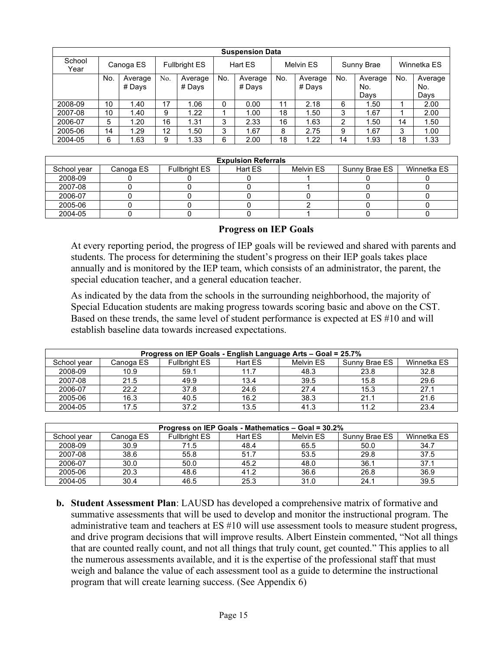|                | <b>Suspension Data</b> |           |     |                      |     |         |     |           |                |            |     |             |
|----------------|------------------------|-----------|-----|----------------------|-----|---------|-----|-----------|----------------|------------|-----|-------------|
| School<br>Year |                        | Canoga ES |     | <b>Fullbright ES</b> |     | Hart ES |     | Melvin ES |                | Sunny Brae |     | Winnetka ES |
|                | No.                    | Average   | No. | Average              | No. | Average | No. | Average   | No.            | Average    | No. | Average     |
|                |                        | # Days    |     | # Days               |     | # Days  |     | # Days    |                | No.        |     | No.         |
|                |                        |           |     |                      |     |         |     |           |                | Davs       |     | Davs        |
| 2008-09        | 10                     | 1.40      | 17  | 1.06                 | 0   | 0.00    | 11  | 2.18      | 6              | 1.50       |     | 2.00        |
| 2007-08        | 10                     | 1.40      | 9   | 1.22                 |     | 1.00    | 18  | 1.50      | 3              | 1.67       |     | 2.00        |
| 2006-07        | 5                      | 1.20      | 16  | 1.31                 | 3   | 2.33    | 16  | 1.63      | $\overline{2}$ | 1.50       | 14  | 1.50        |
| 2005-06        | 14                     | 1.29      | 12  | 1.50                 | 3   | 1.67    | 8   | 2.75      | 9              | 1.67       | 3   | 1.00        |
| 2004-05        | 6                      | 1.63      | 9   | 1.33                 | 6   | 2.00    | 18  | 1.22      | 14             | 1.93       | 18  | 1.33        |

|             | <b>Expulsion Referrals</b> |                      |         |           |               |             |  |  |
|-------------|----------------------------|----------------------|---------|-----------|---------------|-------------|--|--|
| School year | Canoga ES                  | <b>Fullbright ES</b> | Hart ES | Melvin ES | Sunny Brae ES | Winnetka ES |  |  |
| 2008-09     |                            |                      |         |           |               |             |  |  |
| 2007-08     |                            |                      |         |           |               |             |  |  |
| 2006-07     |                            |                      |         |           |               |             |  |  |
| 2005-06     |                            |                      |         |           |               |             |  |  |
| 2004-05     |                            |                      |         |           |               |             |  |  |

#### **Progress on IEP Goals**

At every reporting period, the progress of IEP goals will be reviewed and shared with parents and students. The process for determining the student's progress on their IEP goals takes place annually and is monitored by the IEP team, which consists of an administrator, the parent, the special education teacher, and a general education teacher.

As indicated by the data from the schools in the surrounding neighborhood, the majority of Special Education students are making progress towards scoring basic and above on the CST. Based on these trends, the same level of student performance is expected at ES #10 and will establish baseline data towards increased expectations.

| Progress on IEP Goals - English Language Arts - Goal = 25.7% |           |                      |         |           |               |             |  |
|--------------------------------------------------------------|-----------|----------------------|---------|-----------|---------------|-------------|--|
| School vear                                                  | Canoga ES | <b>Fullbright ES</b> | Hart ES | Melvin ES | Sunny Brae ES | Winnetka ES |  |
| 2008-09                                                      | 10.9      | 59.1                 | 11.7    | 48.3      | 23.8          | 32.8        |  |
| 2007-08                                                      | 21.5      | 49.9                 | 13.4    | 39.5      | 15.8          | 29.6        |  |
| 2006-07                                                      | 22.2      | 37.8                 | 24.6    | 27.4      | 15.3          | 27.1        |  |
| 2005-06                                                      | 16.3      | 40.5                 | 16.2    | 38.3      | 21.1          | 21.6        |  |
| 2004-05                                                      | 17.5      | 37.2                 | 13.5    | 41.3      | 11.2          | 23.4        |  |

| Progress on IEP Goals - Mathematics - Goal = 30.2% |           |                      |         |           |               |             |  |
|----------------------------------------------------|-----------|----------------------|---------|-----------|---------------|-------------|--|
| School year                                        | Canoga ES | <b>Fullbright ES</b> | Hart ES | Melvin ES | Sunny Brae ES | Winnetka ES |  |
| 2008-09                                            | 30.9      | 71.5                 | 48.4    | 65.5      | 50.0          | 34.7        |  |
| 2007-08                                            | 38.6      | 55.8                 | 51.7    | 53.5      | 29.8          | 37.5        |  |
| 2006-07                                            | 30.0      | 50.0                 | 45.2    | 48.0      | 36.1          | 37.1        |  |
| 2005-06                                            | 20.3      | 48.6                 | 41.2    | 36.6      | 26.8          | 36.9        |  |
| 2004-05                                            | 30.4      | 46.5                 | 25.3    | 31.0      | 24.1          | 39.5        |  |

**b. Student Assessment Plan**: LAUSD has developed a comprehensive matrix of formative and summative assessments that will be used to develop and monitor the instructional program. The administrative team and teachers at ES #10 will use assessment tools to measure student progress, and drive program decisions that will improve results. Albert Einstein commented, "Not all things that are counted really count, and not all things that truly count, get counted." This applies to all the numerous assessments available, and it is the expertise of the professional staff that must weigh and balance the value of each assessment tool as a guide to determine the instructional program that will create learning success. (See Appendix 6)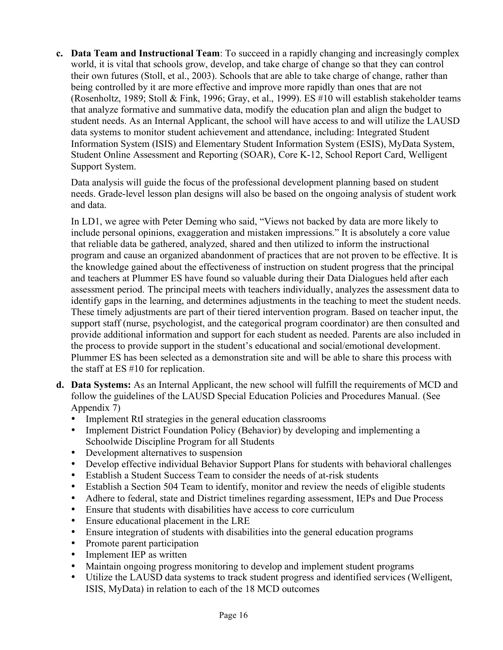**c. Data Team and Instructional Team**: To succeed in a rapidly changing and increasingly complex world, it is vital that schools grow, develop, and take charge of change so that they can control their own futures (Stoll, et al., 2003). Schools that are able to take charge of change, rather than being controlled by it are more effective and improve more rapidly than ones that are not (Rosenholtz, 1989; Stoll & Fink, 1996; Gray, et al., 1999). ES #10 will establish stakeholder teams that analyze formative and summative data, modify the education plan and align the budget to student needs. As an Internal Applicant, the school will have access to and will utilize the LAUSD data systems to monitor student achievement and attendance, including: Integrated Student Information System (ISIS) and Elementary Student Information System (ESIS), MyData System, Student Online Assessment and Reporting (SOAR), Core K-12, School Report Card, Welligent Support System.

Data analysis will guide the focus of the professional development planning based on student needs. Grade-level lesson plan designs will also be based on the ongoing analysis of student work and data.

In LD1, we agree with Peter Deming who said, "Views not backed by data are more likely to include personal opinions, exaggeration and mistaken impressions." It is absolutely a core value that reliable data be gathered, analyzed, shared and then utilized to inform the instructional program and cause an organized abandonment of practices that are not proven to be effective. It is the knowledge gained about the effectiveness of instruction on student progress that the principal and teachers at Plummer ES have found so valuable during their Data Dialogues held after each assessment period. The principal meets with teachers individually, analyzes the assessment data to identify gaps in the learning, and determines adjustments in the teaching to meet the student needs. These timely adjustments are part of their tiered intervention program. Based on teacher input, the support staff (nurse, psychologist, and the categorical program coordinator) are then consulted and provide additional information and support for each student as needed. Parents are also included in the process to provide support in the student's educational and social/emotional development. Plummer ES has been selected as a demonstration site and will be able to share this process with the staff at ES #10 for replication.

- **d. Data Systems:** As an Internal Applicant, the new school will fulfill the requirements of MCD and follow the guidelines of the LAUSD Special Education Policies and Procedures Manual. (See Appendix 7)
	- Implement RtI strategies in the general education classrooms
	- Implement District Foundation Policy (Behavior) by developing and implementing a Schoolwide Discipline Program for all Students
	- Development alternatives to suspension
	- Develop effective individual Behavior Support Plans for students with behavioral challenges
	- Establish a Student Success Team to consider the needs of at-risk students
	- Establish a Section 504 Team to identify, monitor and review the needs of eligible students
	- Adhere to federal, state and District timelines regarding assessment, IEPs and Due Process
	- Ensure that students with disabilities have access to core curriculum
	- Ensure educational placement in the LRE
	- Ensure integration of students with disabilities into the general education programs
	- Promote parent participation
	- Implement IEP as written
	- Maintain ongoing progress monitoring to develop and implement student programs
	- Utilize the LAUSD data systems to track student progress and identified services (Welligent, ISIS, MyData) in relation to each of the 18 MCD outcomes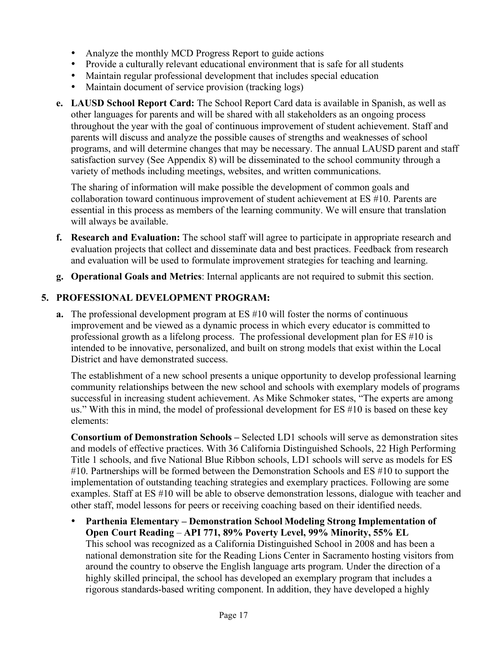- Analyze the monthly MCD Progress Report to guide actions
- Provide a culturally relevant educational environment that is safe for all students
- Maintain regular professional development that includes special education
- Maintain document of service provision (tracking logs)
- **e. LAUSD School Report Card:** The School Report Card data is available in Spanish, as well as other languages for parents and will be shared with all stakeholders as an ongoing process throughout the year with the goal of continuous improvement of student achievement. Staff and parents will discuss and analyze the possible causes of strengths and weaknesses of school programs, and will determine changes that may be necessary. The annual LAUSD parent and staff satisfaction survey (See Appendix 8) will be disseminated to the school community through a variety of methods including meetings, websites, and written communications.

The sharing of information will make possible the development of common goals and collaboration toward continuous improvement of student achievement at ES #10. Parents are essential in this process as members of the learning community. We will ensure that translation will always be available.

- **f. Research and Evaluation:** The school staff will agree to participate in appropriate research and evaluation projects that collect and disseminate data and best practices. Feedback from research and evaluation will be used to formulate improvement strategies for teaching and learning.
- **g. Operational Goals and Metrics**: Internal applicants are not required to submit this section.

# **5. PROFESSIONAL DEVELOPMENT PROGRAM:**

**a.** The professional development program at ES #10 will foster the norms of continuous improvement and be viewed as a dynamic process in which every educator is committed to professional growth as a lifelong process. The professional development plan for ES #10 is intended to be innovative, personalized, and built on strong models that exist within the Local District and have demonstrated success.

The establishment of a new school presents a unique opportunity to develop professional learning community relationships between the new school and schools with exemplary models of programs successful in increasing student achievement. As Mike Schmoker states, "The experts are among us." With this in mind, the model of professional development for ES #10 is based on these key elements:

**Consortium of Demonstration Schools –** Selected LD1 schools will serve as demonstration sites and models of effective practices. With 36 California Distinguished Schools, 22 High Performing Title 1 schools, and five National Blue Ribbon schools, LD1 schools will serve as models for ES #10. Partnerships will be formed between the Demonstration Schools and ES #10 to support the implementation of outstanding teaching strategies and exemplary practices. Following are some examples. Staff at ES #10 will be able to observe demonstration lessons, dialogue with teacher and other staff, model lessons for peers or receiving coaching based on their identified needs.

• **Parthenia Elementary – Demonstration School Modeling Strong Implementation of Open Court Reading** – **API 771, 89% Poverty Level, 99% Minority, 55% EL** This school was recognized as a California Distinguished School in 2008 and has been a national demonstration site for the Reading Lions Center in Sacramento hosting visitors from around the country to observe the English language arts program. Under the direction of a highly skilled principal, the school has developed an exemplary program that includes a rigorous standards-based writing component. In addition, they have developed a highly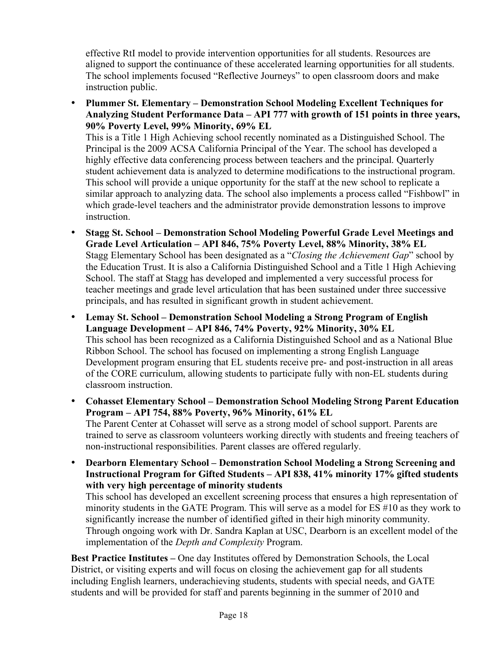effective RtI model to provide intervention opportunities for all students. Resources are aligned to support the continuance of these accelerated learning opportunities for all students. The school implements focused "Reflective Journeys" to open classroom doors and make instruction public.

• **Plummer St. Elementary – Demonstration School Modeling Excellent Techniques for Analyzing Student Performance Data – API 777 with growth of 151 points in three years, 90% Poverty Level, 99% Minority, 69% EL**

This is a Title 1 High Achieving school recently nominated as a Distinguished School. The Principal is the 2009 ACSA California Principal of the Year. The school has developed a highly effective data conferencing process between teachers and the principal. Quarterly student achievement data is analyzed to determine modifications to the instructional program. This school will provide a unique opportunity for the staff at the new school to replicate a similar approach to analyzing data. The school also implements a process called "Fishbowl" in which grade-level teachers and the administrator provide demonstration lessons to improve instruction.

- **Stagg St. School – Demonstration School Modeling Powerful Grade Level Meetings and Grade Level Articulation – API 846, 75% Poverty Level, 88% Minority, 38% EL** Stagg Elementary School has been designated as a "*Closing the Achievement Gap*" school by the Education Trust. It is also a California Distinguished School and a Title 1 High Achieving School. The staff at Stagg has developed and implemented a very successful process for teacher meetings and grade level articulation that has been sustained under three successive principals, and has resulted in significant growth in student achievement.
- **Lemay St. School – Demonstration School Modeling a Strong Program of English Language Development – API 846, 74% Poverty, 92% Minority, 30% EL** This school has been recognized as a California Distinguished School and as a National Blue Ribbon School. The school has focused on implementing a strong English Language Development program ensuring that EL students receive pre- and post-instruction in all areas of the CORE curriculum, allowing students to participate fully with non-EL students during classroom instruction.
- **Cohasset Elementary School – Demonstration School Modeling Strong Parent Education Program – API 754, 88% Poverty, 96% Minority, 61% EL** The Parent Center at Cohasset will serve as a strong model of school support. Parents are

trained to serve as classroom volunteers working directly with students and freeing teachers of non-instructional responsibilities. Parent classes are offered regularly.

• **Dearborn Elementary School – Demonstration School Modeling a Strong Screening and Instructional Program for Gifted Students – API 838, 41% minority 17% gifted students with very high percentage of minority students**

This school has developed an excellent screening process that ensures a high representation of minority students in the GATE Program. This will serve as a model for ES #10 as they work to significantly increase the number of identified gifted in their high minority community. Through ongoing work with Dr. Sandra Kaplan at USC, Dearborn is an excellent model of the implementation of the *Depth and Complexity* Program.

**Best Practice Institutes –** One day Institutes offered by Demonstration Schools, the Local District, or visiting experts and will focus on closing the achievement gap for all students including English learners, underachieving students, students with special needs, and GATE students and will be provided for staff and parents beginning in the summer of 2010 and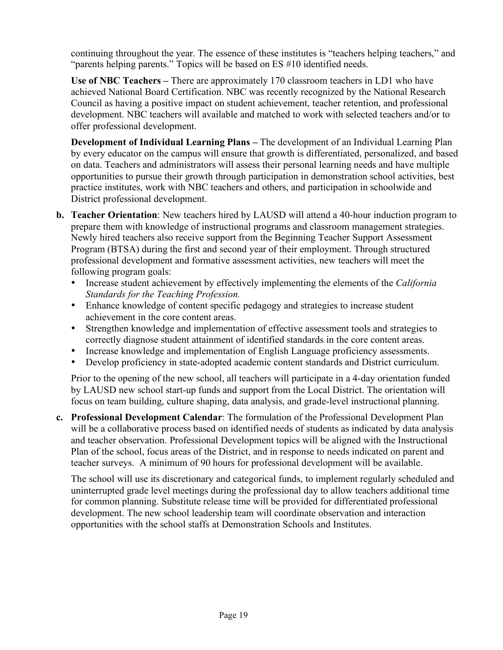continuing throughout the year. The essence of these institutes is "teachers helping teachers," and "parents helping parents." Topics will be based on ES #10 identified needs.

**Use of NBC Teachers –** There are approximately 170 classroom teachers in LD1 who have achieved National Board Certification. NBC was recently recognized by the National Research Council as having a positive impact on student achievement, teacher retention, and professional development. NBC teachers will available and matched to work with selected teachers and/or to offer professional development.

**Development of Individual Learning Plans –** The development of an Individual Learning Plan by every educator on the campus will ensure that growth is differentiated, personalized, and based on data. Teachers and administrators will assess their personal learning needs and have multiple opportunities to pursue their growth through participation in demonstration school activities, best practice institutes, work with NBC teachers and others, and participation in schoolwide and District professional development.

- **b. Teacher Orientation**: New teachers hired by LAUSD will attend a 40-hour induction program to prepare them with knowledge of instructional programs and classroom management strategies. Newly hired teachers also receive support from the Beginning Teacher Support Assessment Program (BTSA) during the first and second year of their employment. Through structured professional development and formative assessment activities, new teachers will meet the following program goals:
	- Increase student achievement by effectively implementing the elements of the *California Standards for the Teaching Profession.*
	- Enhance knowledge of content specific pedagogy and strategies to increase student achievement in the core content areas.
	- Strengthen knowledge and implementation of effective assessment tools and strategies to correctly diagnose student attainment of identified standards in the core content areas.
	- Increase knowledge and implementation of English Language proficiency assessments.
	- Develop proficiency in state-adopted academic content standards and District curriculum.

Prior to the opening of the new school, all teachers will participate in a 4-day orientation funded by LAUSD new school start-up funds and support from the Local District. The orientation will focus on team building, culture shaping, data analysis, and grade-level instructional planning.

**c. Professional Development Calendar**: The formulation of the Professional Development Plan will be a collaborative process based on identified needs of students as indicated by data analysis and teacher observation. Professional Development topics will be aligned with the Instructional Plan of the school, focus areas of the District, and in response to needs indicated on parent and teacher surveys. A minimum of 90 hours for professional development will be available.

The school will use its discretionary and categorical funds, to implement regularly scheduled and uninterrupted grade level meetings during the professional day to allow teachers additional time for common planning. Substitute release time will be provided for differentiated professional development. The new school leadership team will coordinate observation and interaction opportunities with the school staffs at Demonstration Schools and Institutes.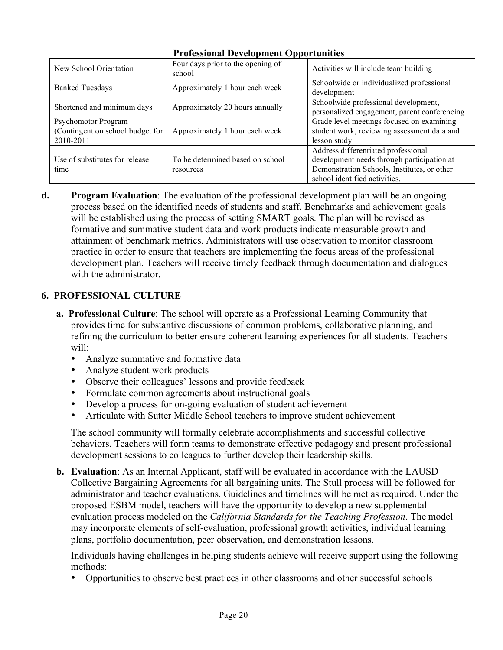| New School Orientation                                               | Four days prior to the opening of<br>school   | Activities will include team building                                                                                                                             |
|----------------------------------------------------------------------|-----------------------------------------------|-------------------------------------------------------------------------------------------------------------------------------------------------------------------|
| <b>Banked Tuesdays</b>                                               | Approximately 1 hour each week                | Schoolwide or individualized professional<br>development                                                                                                          |
| Shortened and minimum days                                           | Approximately 20 hours annually               | Schoolwide professional development,<br>personalized engagement, parent conferencing                                                                              |
| Psychomotor Program<br>(Contingent on school budget for<br>2010-2011 | Approximately 1 hour each week                | Grade level meetings focused on examining<br>student work, reviewing assessment data and<br>lesson study                                                          |
| Use of substitutes for release<br>time                               | To be determined based on school<br>resources | Address differentiated professional<br>development needs through participation at<br>Demonstration Schools, Institutes, or other<br>school identified activities. |

## **Professional Development Opportunities**

**d. Program Evaluation**: The evaluation of the professional development plan will be an ongoing process based on the identified needs of students and staff. Benchmarks and achievement goals will be established using the process of setting SMART goals. The plan will be revised as formative and summative student data and work products indicate measurable growth and attainment of benchmark metrics. Administrators will use observation to monitor classroom practice in order to ensure that teachers are implementing the focus areas of the professional development plan. Teachers will receive timely feedback through documentation and dialogues with the administrator.

# **6. PROFESSIONAL CULTURE**

- **a. Professional Culture**: The school will operate as a Professional Learning Community that provides time for substantive discussions of common problems, collaborative planning, and refining the curriculum to better ensure coherent learning experiences for all students. Teachers will:
	- Analyze summative and formative data
	- Analyze student work products
	- Observe their colleagues' lessons and provide feedback
	- Formulate common agreements about instructional goals
	- Develop a process for on-going evaluation of student achievement
	- Articulate with Sutter Middle School teachers to improve student achievement

The school community will formally celebrate accomplishments and successful collective behaviors. Teachers will form teams to demonstrate effective pedagogy and present professional development sessions to colleagues to further develop their leadership skills.

**b. Evaluation**: As an Internal Applicant, staff will be evaluated in accordance with the LAUSD Collective Bargaining Agreements for all bargaining units. The Stull process will be followed for administrator and teacher evaluations. Guidelines and timelines will be met as required. Under the proposed ESBM model, teachers will have the opportunity to develop a new supplemental evaluation process modeled on the *California Standards for the Teaching Profession*. The model may incorporate elements of self-evaluation, professional growth activities, individual learning plans, portfolio documentation, peer observation, and demonstration lessons.

Individuals having challenges in helping students achieve will receive support using the following methods:

• Opportunities to observe best practices in other classrooms and other successful schools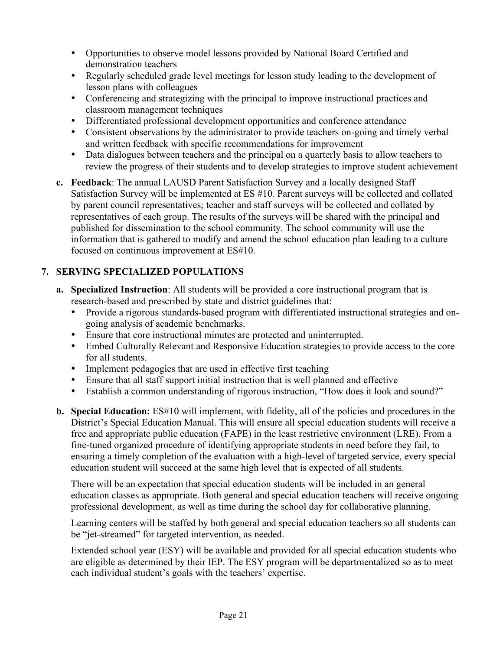- Opportunities to observe model lessons provided by National Board Certified and demonstration teachers
- Regularly scheduled grade level meetings for lesson study leading to the development of lesson plans with colleagues
- Conferencing and strategizing with the principal to improve instructional practices and classroom management techniques
- Differentiated professional development opportunities and conference attendance
- Consistent observations by the administrator to provide teachers on-going and timely verbal and written feedback with specific recommendations for improvement
- Data dialogues between teachers and the principal on a quarterly basis to allow teachers to review the progress of their students and to develop strategies to improve student achievement
- **c. Feedback**: The annual LAUSD Parent Satisfaction Survey and a locally designed Staff Satisfaction Survey will be implemented at ES #10. Parent surveys will be collected and collated by parent council representatives; teacher and staff surveys will be collected and collated by representatives of each group. The results of the surveys will be shared with the principal and published for dissemination to the school community. The school community will use the information that is gathered to modify and amend the school education plan leading to a culture focused on continuous improvement at ES#10.

## **7. SERVING SPECIALIZED POPULATIONS**

- **a. Specialized Instruction**: All students will be provided a core instructional program that is research-based and prescribed by state and district guidelines that:
	- Provide a rigorous standards-based program with differentiated instructional strategies and ongoing analysis of academic benchmarks.
	- Ensure that core instructional minutes are protected and uninterrupted.
	- Embed Culturally Relevant and Responsive Education strategies to provide access to the core for all students.
	- Implement pedagogies that are used in effective first teaching
	- Ensure that all staff support initial instruction that is well planned and effective
	- Establish a common understanding of rigorous instruction, "How does it look and sound?"
- **b. Special Education:** ES#10 will implement, with fidelity, all of the policies and procedures in the District's Special Education Manual. This will ensure all special education students will receive a free and appropriate public education (FAPE) in the least restrictive environment (LRE). From a fine-tuned organized procedure of identifying appropriate students in need before they fail, to ensuring a timely completion of the evaluation with a high-level of targeted service, every special education student will succeed at the same high level that is expected of all students.

There will be an expectation that special education students will be included in an general education classes as appropriate. Both general and special education teachers will receive ongoing professional development, as well as time during the school day for collaborative planning.

Learning centers will be staffed by both general and special education teachers so all students can be "jet-streamed" for targeted intervention, as needed.

Extended school year (ESY) will be available and provided for all special education students who are eligible as determined by their IEP. The ESY program will be departmentalized so as to meet each individual student's goals with the teachers' expertise.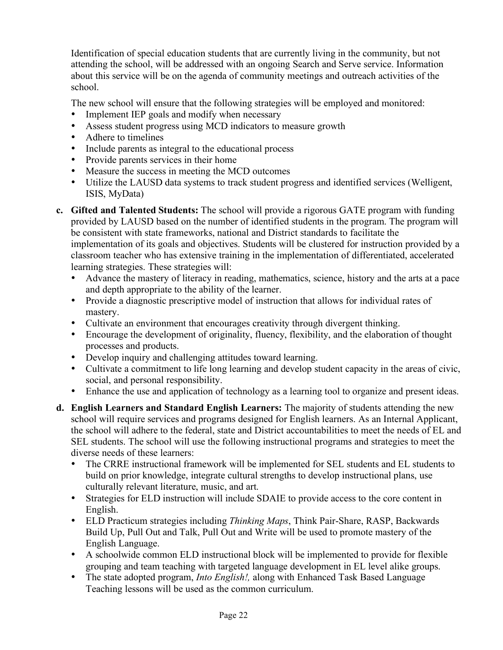Identification of special education students that are currently living in the community, but not attending the school, will be addressed with an ongoing Search and Serve service. Information about this service will be on the agenda of community meetings and outreach activities of the school.

The new school will ensure that the following strategies will be employed and monitored:

- Implement IEP goals and modify when necessary
- Assess student progress using MCD indicators to measure growth
- Adhere to timelines
- Include parents as integral to the educational process
- Provide parents services in their home
- Measure the success in meeting the MCD outcomes
- Utilize the LAUSD data systems to track student progress and identified services (Welligent, ISIS, MyData)
- **c. Gifted and Talented Students:** The school will provide a rigorous GATE program with funding provided by LAUSD based on the number of identified students in the program. The program will be consistent with state frameworks, national and District standards to facilitate the implementation of its goals and objectives. Students will be clustered for instruction provided by a classroom teacher who has extensive training in the implementation of differentiated, accelerated learning strategies. These strategies will:
	- Advance the mastery of literacy in reading, mathematics, science, history and the arts at a pace and depth appropriate to the ability of the learner.
	- Provide a diagnostic prescriptive model of instruction that allows for individual rates of mastery.
	- Cultivate an environment that encourages creativity through divergent thinking.
	- Encourage the development of originality, fluency, flexibility, and the elaboration of thought processes and products.
	- Develop inquiry and challenging attitudes toward learning.
	- Cultivate a commitment to life long learning and develop student capacity in the areas of civic, social, and personal responsibility.
	- Enhance the use and application of technology as a learning tool to organize and present ideas.
- **d. English Learners and Standard English Learners:** The majority of students attending the new school will require services and programs designed for English learners. As an Internal Applicant, the school will adhere to the federal, state and District accountabilities to meet the needs of EL and SEL students. The school will use the following instructional programs and strategies to meet the diverse needs of these learners:
	- The CRRE instructional framework will be implemented for SEL students and EL students to build on prior knowledge, integrate cultural strengths to develop instructional plans, use culturally relevant literature, music, and art.
	- Strategies for ELD instruction will include SDAIE to provide access to the core content in English.
	- ELD Practicum strategies including *Thinking Maps*, Think Pair-Share, RASP, Backwards Build Up, Pull Out and Talk, Pull Out and Write will be used to promote mastery of the English Language.
	- A schoolwide common ELD instructional block will be implemented to provide for flexible grouping and team teaching with targeted language development in EL level alike groups.
	- The state adopted program, *Into English!*, along with Enhanced Task Based Language Teaching lessons will be used as the common curriculum.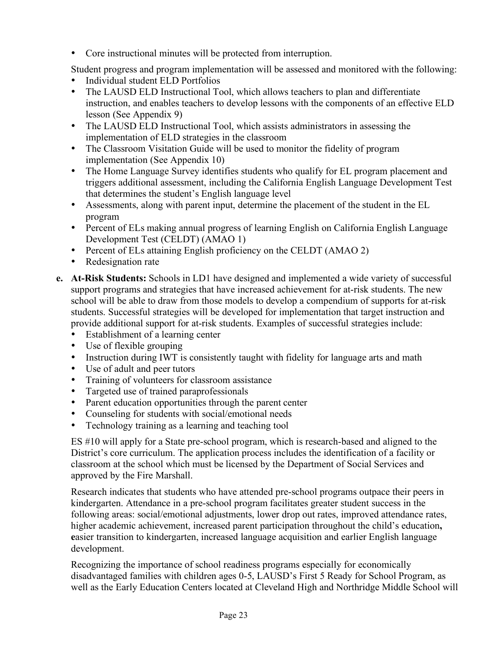• Core instructional minutes will be protected from interruption.

Student progress and program implementation will be assessed and monitored with the following:

- Individual student ELD Portfolios<br>• The LAUSD ELD Instructional To
- The LAUSD ELD Instructional Tool, which allows teachers to plan and differentiate instruction, and enables teachers to develop lessons with the components of an effective ELD lesson (See Appendix 9)
- The LAUSD ELD Instructional Tool, which assists administrators in assessing the implementation of ELD strategies in the classroom
- The Classroom Visitation Guide will be used to monitor the fidelity of program implementation (See Appendix 10)
- The Home Language Survey identifies students who qualify for EL program placement and triggers additional assessment, including the California English Language Development Test that determines the student's English language level
- Assessments, along with parent input, determine the placement of the student in the EL program
- Percent of ELs making annual progress of learning English on California English Language Development Test (CELDT) (AMAO 1)
- Percent of ELs attaining English proficiency on the CELDT (AMAO 2)
- Redesignation rate
- **e. At-Risk Students:** Schools in LD1 have designed and implemented a wide variety of successful support programs and strategies that have increased achievement for at-risk students. The new school will be able to draw from those models to develop a compendium of supports for at-risk students. Successful strategies will be developed for implementation that target instruction and provide additional support for at-risk students. Examples of successful strategies include:
	- Establishment of a learning center
	- Use of flexible grouping
	- Instruction during IWT is consistently taught with fidelity for language arts and math
	- Use of adult and peer tutors
	- Training of volunteers for classroom assistance<br>• Targeted use of trained paraprofessionals
	- Targeted use of trained paraprofessionals
	- Parent education opportunities through the parent center
	- Counseling for students with social/emotional needs
	- Technology training as a learning and teaching tool

ES #10 will apply for a State pre-school program, which is research-based and aligned to the District's core curriculum. The application process includes the identification of a facility or classroom at the school which must be licensed by the Department of Social Services and approved by the Fire Marshall.

Research indicates that students who have attended pre-school programs outpace their peers in kindergarten. Attendance in a pre-school program facilitates greater student success in the following areas: social/emotional adjustments, lower drop out rates, improved attendance rates, higher academic achievement, increased parent participation throughout the child's education**, e**asier transition to kindergarten, increased language acquisition and earlier English language development.

Recognizing the importance of school readiness programs especially for economically disadvantaged families with children ages 0-5, LAUSD's First 5 Ready for School Program, as well as the Early Education Centers located at Cleveland High and Northridge Middle School will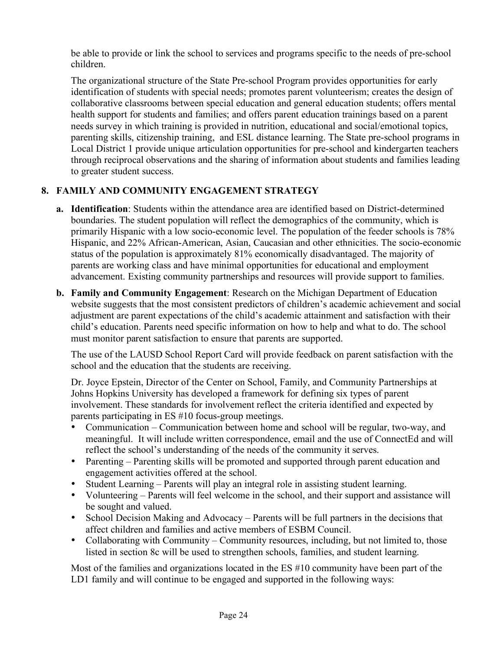be able to provide or link the school to services and programs specific to the needs of pre-school children.

The organizational structure of the State Pre-school Program provides opportunities for early identification of students with special needs; promotes parent volunteerism; creates the design of collaborative classrooms between special education and general education students; offers mental health support for students and families; and offers parent education trainings based on a parent needs survey in which training is provided in nutrition, educational and social/emotional topics, parenting skills, citizenship training, and ESL distance learning. The State pre-school programs in Local District 1 provide unique articulation opportunities for pre-school and kindergarten teachers through reciprocal observations and the sharing of information about students and families leading to greater student success.

# **8. FAMILY AND COMMUNITY ENGAGEMENT STRATEGY**

- **a. Identification**: Students within the attendance area are identified based on District-determined boundaries. The student population will reflect the demographics of the community, which is primarily Hispanic with a low socio-economic level. The population of the feeder schools is 78% Hispanic, and 22% African-American, Asian, Caucasian and other ethnicities. The socio-economic status of the population is approximately 81% economically disadvantaged. The majority of parents are working class and have minimal opportunities for educational and employment advancement. Existing community partnerships and resources will provide support to families.
- **b. Family and Community Engagement**: Research on the Michigan Department of Education website suggests that the most consistent predictors of children's academic achievement and social adjustment are parent expectations of the child's academic attainment and satisfaction with their child's education. Parents need specific information on how to help and what to do. The school must monitor parent satisfaction to ensure that parents are supported.

The use of the LAUSD School Report Card will provide feedback on parent satisfaction with the school and the education that the students are receiving.

Dr. Joyce Epstein, Director of the Center on School, Family, and Community Partnerships at Johns Hopkins University has developed a framework for defining six types of parent involvement. These standards for involvement reflect the criteria identified and expected by parents participating in ES #10 focus-group meetings.

- Communication Communication between home and school will be regular, two-way, and meaningful. It will include written correspondence, email and the use of ConnectEd and will reflect the school's understanding of the needs of the community it serves.
- Parenting Parenting skills will be promoted and supported through parent education and engagement activities offered at the school.
- Student Learning Parents will play an integral role in assisting student learning.
- Volunteering Parents will feel welcome in the school, and their support and assistance will be sought and valued.
- School Decision Making and Advocacy Parents will be full partners in the decisions that affect children and families and active members of ESBM Council.
- Collaborating with Community Community resources, including, but not limited to, those listed in section 8c will be used to strengthen schools, families, and student learning.

Most of the families and organizations located in the ES #10 community have been part of the LD1 family and will continue to be engaged and supported in the following ways: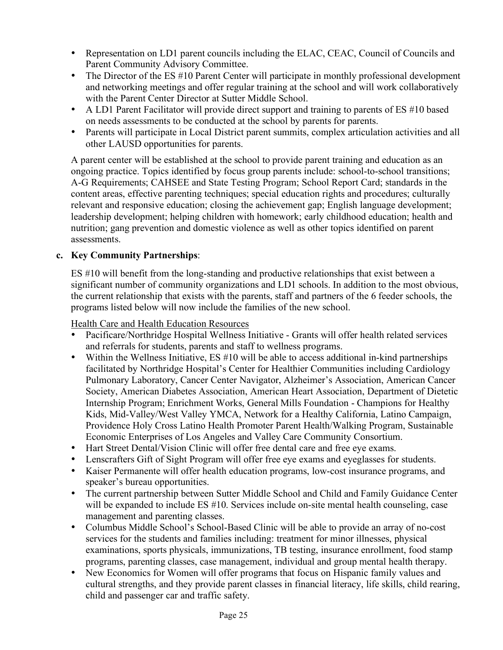- Representation on LD1 parent councils including the ELAC, CEAC, Council of Councils and Parent Community Advisory Committee.
- The Director of the ES #10 Parent Center will participate in monthly professional development and networking meetings and offer regular training at the school and will work collaboratively with the Parent Center Director at Sutter Middle School.
- A LD1 Parent Facilitator will provide direct support and training to parents of ES #10 based on needs assessments to be conducted at the school by parents for parents.
- Parents will participate in Local District parent summits, complex articulation activities and all other LAUSD opportunities for parents.

A parent center will be established at the school to provide parent training and education as an ongoing practice. Topics identified by focus group parents include: school-to-school transitions; A-G Requirements; CAHSEE and State Testing Program; School Report Card; standards in the content areas, effective parenting techniques; special education rights and procedures; culturally relevant and responsive education; closing the achievement gap; English language development; leadership development; helping children with homework; early childhood education; health and nutrition; gang prevention and domestic violence as well as other topics identified on parent assessments.

## **c. Key Community Partnerships**:

ES #10 will benefit from the long-standing and productive relationships that exist between a significant number of community organizations and LD1 schools. In addition to the most obvious, the current relationship that exists with the parents, staff and partners of the 6 feeder schools, the programs listed below will now include the families of the new school.

Health Care and Health Education Resources

- Pacificare/Northridge Hospital Wellness Initiative Grants will offer health related services and referrals for students, parents and staff to wellness programs.
- Within the Wellness Initiative, ES #10 will be able to access additional in-kind partnerships facilitated by Northridge Hospital's Center for Healthier Communities including Cardiology Pulmonary Laboratory, Cancer Center Navigator, Alzheimer's Association, American Cancer Society, American Diabetes Association, American Heart Association, Department of Dietetic Internship Program; Enrichment Works, General Mills Foundation - Champions for Healthy Kids, Mid-Valley/West Valley YMCA, Network for a Healthy California, Latino Campaign, Providence Holy Cross Latino Health Promoter Parent Health/Walking Program, Sustainable Economic Enterprises of Los Angeles and Valley Care Community Consortium.
- Hart Street Dental/Vision Clinic will offer free dental care and free eye exams.
- Lenscrafters Gift of Sight Program will offer free eye exams and eyeglasses for students.
- Kaiser Permanente will offer health education programs, low-cost insurance programs, and speaker's bureau opportunities.
- The current partnership between Sutter Middle School and Child and Family Guidance Center will be expanded to include ES #10. Services include on-site mental health counseling, case management and parenting classes.
- Columbus Middle School's School-Based Clinic will be able to provide an array of no-cost services for the students and families including: treatment for minor illnesses, physical examinations, sports physicals, immunizations, TB testing, insurance enrollment, food stamp programs, parenting classes, case management, individual and group mental health therapy.
- New Economics for Women will offer programs that focus on Hispanic family values and cultural strengths, and they provide parent classes in financial literacy, life skills, child rearing, child and passenger car and traffic safety.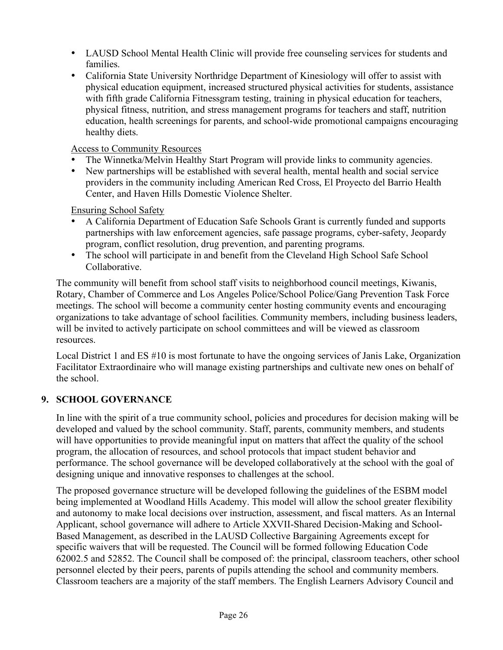- LAUSD School Mental Health Clinic will provide free counseling services for students and families.
- California State University Northridge Department of Kinesiology will offer to assist with physical education equipment, increased structured physical activities for students, assistance with fifth grade California Fitnessgram testing, training in physical education for teachers, physical fitness, nutrition, and stress management programs for teachers and staff, nutrition education, health screenings for parents, and school-wide promotional campaigns encouraging healthy diets.

Access to Community Resources

- The Winnetka/Melvin Healthy Start Program will provide links to community agencies.
- New partnerships will be established with several health, mental health and social service providers in the community including American Red Cross, El Proyecto del Barrio Health Center, and Haven Hills Domestic Violence Shelter.

Ensuring School Safety

- A California Department of Education Safe Schools Grant is currently funded and supports partnerships with law enforcement agencies, safe passage programs, cyber-safety, Jeopardy program, conflict resolution, drug prevention, and parenting programs.
- The school will participate in and benefit from the Cleveland High School Safe School Collaborative.

The community will benefit from school staff visits to neighborhood council meetings, Kiwanis, Rotary, Chamber of Commerce and Los Angeles Police/School Police/Gang Prevention Task Force meetings. The school will become a community center hosting community events and encouraging organizations to take advantage of school facilities. Community members, including business leaders, will be invited to actively participate on school committees and will be viewed as classroom resources.

Local District 1 and ES #10 is most fortunate to have the ongoing services of Janis Lake, Organization Facilitator Extraordinaire who will manage existing partnerships and cultivate new ones on behalf of the school.

## **9. SCHOOL GOVERNANCE**

In line with the spirit of a true community school, policies and procedures for decision making will be developed and valued by the school community. Staff, parents, community members, and students will have opportunities to provide meaningful input on matters that affect the quality of the school program, the allocation of resources, and school protocols that impact student behavior and performance. The school governance will be developed collaboratively at the school with the goal of designing unique and innovative responses to challenges at the school.

The proposed governance structure will be developed following the guidelines of the ESBM model being implemented at Woodland Hills Academy. This model will allow the school greater flexibility and autonomy to make local decisions over instruction, assessment, and fiscal matters. As an Internal Applicant, school governance will adhere to Article XXVII-Shared Decision-Making and School-Based Management, as described in the LAUSD Collective Bargaining Agreements except for specific waivers that will be requested. The Council will be formed following Education Code 62002.5 and 52852. The Council shall be composed of: the principal, classroom teachers, other school personnel elected by their peers, parents of pupils attending the school and community members. Classroom teachers are a majority of the staff members. The English Learners Advisory Council and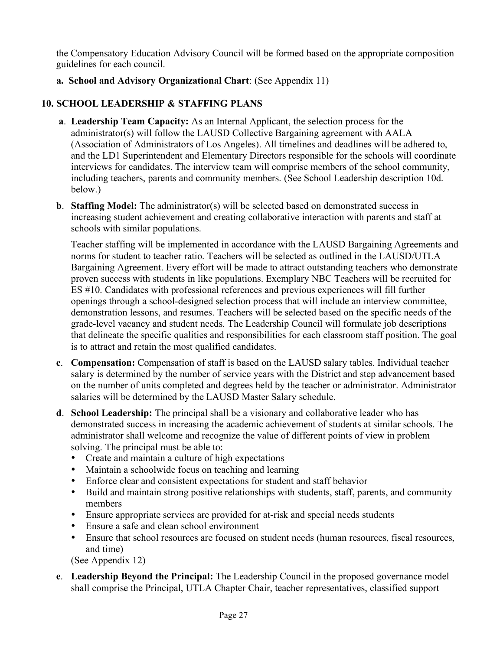the Compensatory Education Advisory Council will be formed based on the appropriate composition guidelines for each council.

**a. School and Advisory Organizational Chart**: (See Appendix 11)

# **10. SCHOOL LEADERSHIP & STAFFING PLANS**

- **a**. **Leadership Team Capacity:** As an Internal Applicant, the selection process for the administrator(s) will follow the LAUSD Collective Bargaining agreement with AALA (Association of Administrators of Los Angeles). All timelines and deadlines will be adhered to, and the LD1 Superintendent and Elementary Directors responsible for the schools will coordinate interviews for candidates. The interview team will comprise members of the school community, including teachers, parents and community members. (See School Leadership description 10d. below.)
- **b. Staffing Model:** The administrator(s) will be selected based on demonstrated success in increasing student achievement and creating collaborative interaction with parents and staff at schools with similar populations.

Teacher staffing will be implemented in accordance with the LAUSD Bargaining Agreements and norms for student to teacher ratio. Teachers will be selected as outlined in the LAUSD/UTLA Bargaining Agreement. Every effort will be made to attract outstanding teachers who demonstrate proven success with students in like populations. Exemplary NBC Teachers will be recruited for ES #10. Candidates with professional references and previous experiences will fill further openings through a school-designed selection process that will include an interview committee, demonstration lessons, and resumes. Teachers will be selected based on the specific needs of the grade-level vacancy and student needs. The Leadership Council will formulate job descriptions that delineate the specific qualities and responsibilities for each classroom staff position. The goal is to attract and retain the most qualified candidates.

- **c**. **Compensation:** Compensation of staff is based on the LAUSD salary tables. Individual teacher salary is determined by the number of service years with the District and step advancement based on the number of units completed and degrees held by the teacher or administrator. Administrator salaries will be determined by the LAUSD Master Salary schedule.
- **d**. **School Leadership:** The principal shall be a visionary and collaborative leader who has demonstrated success in increasing the academic achievement of students at similar schools. The administrator shall welcome and recognize the value of different points of view in problem solving. The principal must be able to:
	- Create and maintain a culture of high expectations
	- Maintain a schoolwide focus on teaching and learning
	- Enforce clear and consistent expectations for student and staff behavior
	- Build and maintain strong positive relationships with students, staff, parents, and community members
	- Ensure appropriate services are provided for at-risk and special needs students
	- Ensure a safe and clean school environment
	- Ensure that school resources are focused on student needs (human resources, fiscal resources, and time)

(See Appendix 12)

**e**. **Leadership Beyond the Principal:** The Leadership Council in the proposed governance model shall comprise the Principal, UTLA Chapter Chair, teacher representatives, classified support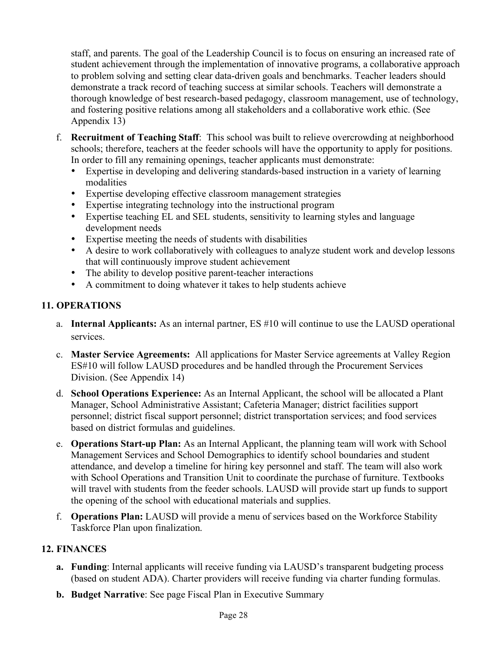staff, and parents. The goal of the Leadership Council is to focus on ensuring an increased rate of student achievement through the implementation of innovative programs, a collaborative approach to problem solving and setting clear data-driven goals and benchmarks. Teacher leaders should demonstrate a track record of teaching success at similar schools. Teachers will demonstrate a thorough knowledge of best research-based pedagogy, classroom management, use of technology, and fostering positive relations among all stakeholders and a collaborative work ethic. (See Appendix 13)

- f. **Recruitment of Teaching Staff**: This school was built to relieve overcrowding at neighborhood schools; therefore, teachers at the feeder schools will have the opportunity to apply for positions. In order to fill any remaining openings, teacher applicants must demonstrate:
	- Expertise in developing and delivering standards-based instruction in a variety of learning modalities
	- Expertise developing effective classroom management strategies
	- Expertise integrating technology into the instructional program
	- Expertise teaching EL and SEL students, sensitivity to learning styles and language development needs
	- Expertise meeting the needs of students with disabilities
	- A desire to work collaboratively with colleagues to analyze student work and develop lessons that will continuously improve student achievement
	- The ability to develop positive parent-teacher interactions
	- A commitment to doing whatever it takes to help students achieve

# **11. OPERATIONS**

- a. **Internal Applicants:** As an internal partner, ES #10 will continue to use the LAUSD operational services.
- c. **Master Service Agreements:** All applications for Master Service agreements at Valley Region ES#10 will follow LAUSD procedures and be handled through the Procurement Services Division. (See Appendix 14)
- d. **School Operations Experience:** As an Internal Applicant, the school will be allocated a Plant Manager, School Administrative Assistant; Cafeteria Manager; district facilities support personnel; district fiscal support personnel; district transportation services; and food services based on district formulas and guidelines.
- e. **Operations Start-up Plan:** As an Internal Applicant, the planning team will work with School Management Services and School Demographics to identify school boundaries and student attendance, and develop a timeline for hiring key personnel and staff. The team will also work with School Operations and Transition Unit to coordinate the purchase of furniture. Textbooks will travel with students from the feeder schools. LAUSD will provide start up funds to support the opening of the school with educational materials and supplies.
- f. **Operations Plan:** LAUSD will provide a menu of services based on the Workforce Stability Taskforce Plan upon finalization.

# **12. FINANCES**

- **a. Funding**: Internal applicants will receive funding via LAUSD's transparent budgeting process (based on student ADA). Charter providers will receive funding via charter funding formulas.
- **b. Budget Narrative**: See page Fiscal Plan in Executive Summary